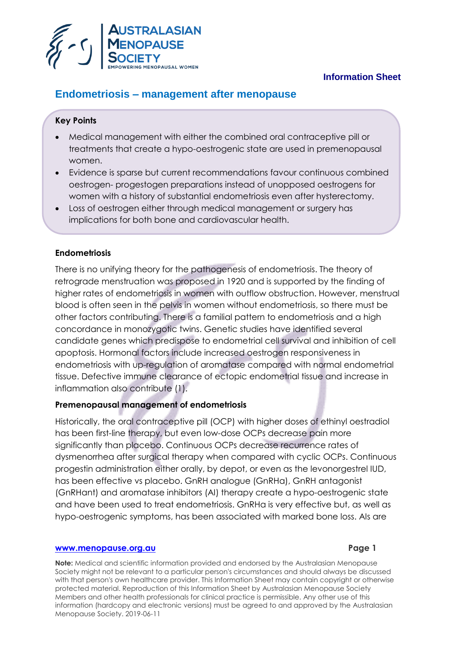

# **Information Sheet**

# **Endometriosis – management after menopause**

# **Key Points**

- Medical management with either the combined oral contraceptive pill or treatments that create a hypo-oestrogenic state are used in premenopausal women.
- Evidence is sparse but current recommendations favour continuous combined oestrogen- progestogen preparations instead of unopposed oestrogens for women with a history of substantial endometriosis even after hysterectomy.
- Loss of oestrogen either through medical management or surgery has implications for both bone and cardiovascular health.

# **Endometriosis**

There is no unifying theory for the pathogenesis of endometriosis. The theory of retrograde menstruation was proposed in 1920 and is supported by the finding of higher rates of endometriosis in women with outflow obstruction. However, menstrual blood is often seen in the pelvis in women without endometriosis, so there must be other factors contributing. There is a familial pattern to endometriosis and a high concordance in monozygotic twins. Genetic studies have identified several candidate genes which predispose to endometrial cell survival and inhibition of cell apoptosis. Hormonal factors include increased oestrogen responsiveness in endometriosis with up-regulation of aromatase compared with normal endometrial tissue. Defective immune clearance of ectopic endometrial tissue and increase in inflammation also contribute (1).

# **Premenopausal management of endometriosis**

Historically, the oral contraceptive pill (OCP) with higher doses of ethinyl oestradiol has been first-line therapy, but even low-dose OCPs decrease pain more significantly than placebo. Continuous OCPs decrease recurrence rates of dysmenorrhea after surgical therapy when compared with cyclic OCPs. Continuous progestin administration either orally, by depot, or even as the levonorgestrel IUD, has been effective vs placebo. GnRH analogue (GnRHa), GnRH antagonist (GnRHant) and aromatase inhibitors (AI) therapy create a hypo-oestrogenic state and have been used to treat endometriosis. GnRHa is very effective but, as well as hypo-oestrogenic symptoms, has been associated with marked bone loss. AIs are

### **[www.menopause.org.au](http://www.menopause.org.au/)**  Page 1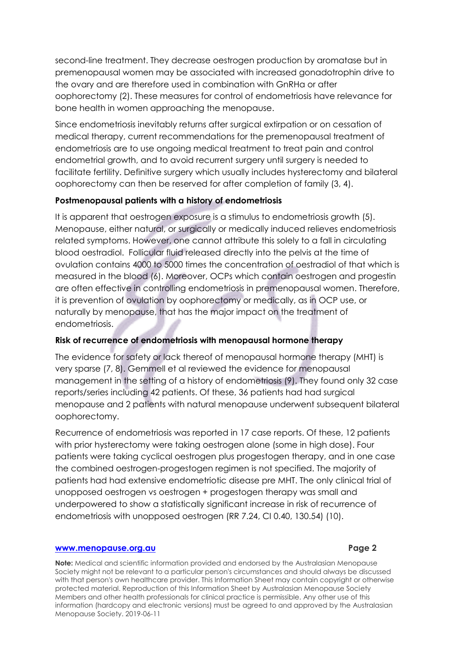second-line treatment. They decrease oestrogen production by aromatase but in premenopausal women may be associated with increased gonadotrophin drive to the ovary and are therefore used in combination with GnRHa or after oophorectomy (2). These measures for control of endometriosis have relevance for bone health in women approaching the menopause.

Since endometriosis inevitably returns after surgical extirpation or on cessation of medical therapy, current recommendations for the premenopausal treatment of endometriosis are to use ongoing medical treatment to treat pain and control endometrial growth, and to avoid recurrent surgery until surgery is needed to facilitate fertility. Definitive surgery which usually includes hysterectomy and bilateral oophorectomy can then be reserved for after completion of family (3, 4).

### **Postmenopausal patients with a history of endometriosis**

It is apparent that oestrogen exposure is a stimulus to endometriosis growth (5). Menopause, either natural, or surgically or medically induced relieves endometriosis related symptoms. However, one cannot attribute this solely to a fall in circulating blood oestradiol. Follicular fluid released directly into the pelvis at the time of ovulation contains 4000 to 5000 times the concentration of oestradiol of that which is measured in the blood (6). Moreover, OCPs which contain oestrogen and progestin are often effective in controlling endometriosis in premenopausal women. Therefore, it is prevention of ovulation by oophorectomy or medically, as in OCP use, or naturally by menopause, that has the major impact on the treatment of endometriosis.

### **Risk of recurrence of endometriosis with menopausal hormone therapy**

The evidence for safety or lack thereof of menopausal hormone therapy (MHT) is very sparse (7, 8). Gemmell et al reviewed the evidence for menopausal management in the setting of a history of endometriosis (9). They found only 32 case reports/series including 42 patients. Of these, 36 patients had had surgical menopause and 2 patients with natural menopause underwent subsequent bilateral oophorectomy.

Recurrence of endometriosis was reported in 17 case reports. Of these, 12 patients with prior hysterectomy were taking oestrogen alone (some in high dose). Four patients were taking cyclical oestrogen plus progestogen therapy, and in one case the combined oestrogen-progestogen regimen is not specified. The majority of patients had had extensive endometriotic disease pre MHT. The only clinical trial of unopposed oestrogen vs oestrogen + progestogen therapy was small and underpowered to show a statistically significant increase in risk of recurrence of endometriosis with unopposed oestrogen (RR 7.24, CI 0.40, 130.54) (10).

### **[www.menopause.org.au](http://www.menopause.org.au/) Page 2**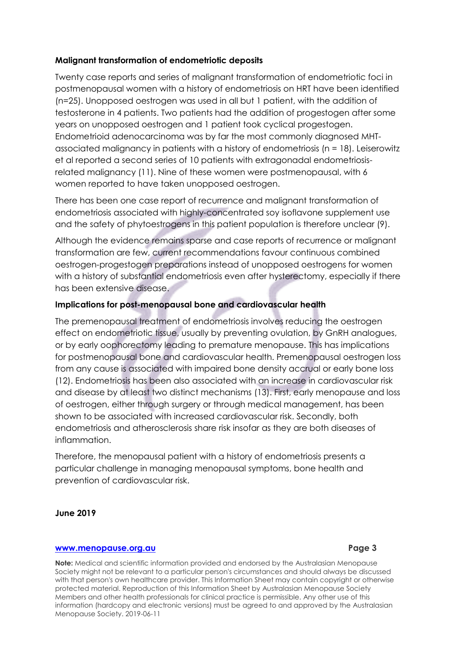# **Malignant transformation of endometriotic deposits**

Twenty case reports and series of malignant transformation of endometriotic foci in postmenopausal women with a history of endometriosis on HRT have been identified (n=25). Unopposed oestrogen was used in all but 1 patient, with the addition of testosterone in 4 patients. Two patients had the addition of progestogen after some years on unopposed oestrogen and 1 patient took cyclical progestogen. Endometrioid adenocarcinoma was by far the most commonly diagnosed MHTassociated malignancy in patients with a history of endometriosis (n = 18). Leiserowitz et al reported a second series of 10 patients with extragonadal endometriosisrelated malignancy (11). Nine of these women were postmenopausal, with 6 women reported to have taken unopposed oestrogen.

There has been one case report of recurrence and malignant transformation of endometriosis associated with highly-concentrated soy isoflavone supplement use and the safety of phytoestrogens in this patient population is therefore unclear (9).

Although the evidence remains sparse and case reports of recurrence or malignant transformation are few, current recommendations favour continuous combined oestrogen-progestogen preparations instead of unopposed oestrogens for women with a history of substantial endometriosis even after hysterectomy, especially if there has been extensive disease.

### **Implications for post-menopausal bone and cardiovascular health**

The premenopausal treatment of endometriosis involves reducing the oestrogen effect on endometriotic tissue, usually by preventing ovulation, by GnRH analogues, or by early oophorectomy leading to premature menopause. This has implications for postmenopausal bone and cardiovascular health. Premenopausal oestrogen loss from any cause is associated with impaired bone density accrual or early bone loss (12). Endometriosis has been also associated with an increase in cardiovascular risk and disease by at least two distinct mechanisms (13). First, early menopause and loss of oestrogen, either through surgery or through medical management, has been shown to be associated with increased cardiovascular risk. Secondly, both endometriosis and atherosclerosis share risk insofar as they are both diseases of inflammation.

Therefore, the menopausal patient with a history of endometriosis presents a particular challenge in managing menopausal symptoms, bone health and prevention of cardiovascular risk.

### **June 2019**

### **[www.menopause.org.au](http://www.menopause.org.au/) Page 3**